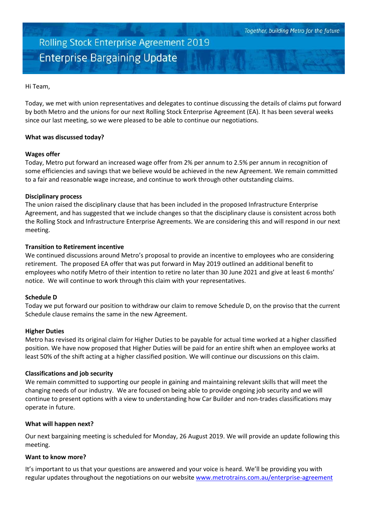Together, building Metro for the future

# **Rolling Stock Enterprise Agreement 2019 Enterprise Bargaining Update**

## Hi Team,

Today, we met with union representatives and delegates to continue discussing the details of claims put forward by both Metro and the unions for our next Rolling Stock Enterprise Agreement (EA). It has been several weeks since our last meeting, so we were pleased to be able to continue our negotiations.

# **What was discussed today?**

## **Wages offer**

Today, Metro put forward an increased wage offer from 2% per annum to 2.5% per annum in recognition of some efficiencies and savings that we believe would be achieved in the new Agreement. We remain committed to a fair and reasonable wage increase, and continue to work through other outstanding claims.

## **Disciplinary process**

The union raised the disciplinary clause that has been included in the proposed Infrastructure Enterprise Agreement, and has suggested that we include changes so that the disciplinary clause is consistent across both the Rolling Stock and Infrastructure Enterprise Agreements. We are considering this and will respond in our next meeting.

## **Transition to Retirement incentive**

We continued discussions around Metro's proposal to provide an incentive to employees who are considering retirement. The proposed EA offer that was put forward in May 2019 outlined an additional benefit to employees who notify Metro of their intention to retire no later than 30 June 2021 and give at least 6 months' notice. We will continue to work through this claim with your representatives.

#### **Schedule D**

Today we put forward our position to withdraw our claim to remove Schedule D, on the proviso that the current Schedule clause remains the same in the new Agreement.

#### **Higher Duties**

Metro has revised its original claim for Higher Duties to be payable for actual time worked at a higher classified position. We have now proposed that Higher Duties will be paid for an entire shift when an employee works at least 50% of the shift acting at a higher classified position. We will continue our discussions on this claim.

# **Classifications and job security**

We remain committed to supporting our people in gaining and maintaining relevant skills that will meet the changing needs of our industry. We are focused on being able to provide ongoing job security and we will continue to present options with a view to understanding how Car Builder and non-trades classifications may operate in future.

#### **What will happen next?**

Our next bargaining meeting is scheduled for Monday, 26 August 2019. We will provide an update following this meeting.

# **Want to know more?**

It's important to us that your questions are answered and your voice is heard. We'll be providing you with regular updates throughout the negotiations on our website [www.metrotrains.com.au/enterprise-agreement](http://www.metrotrains.com.au/enterprise-agreement)